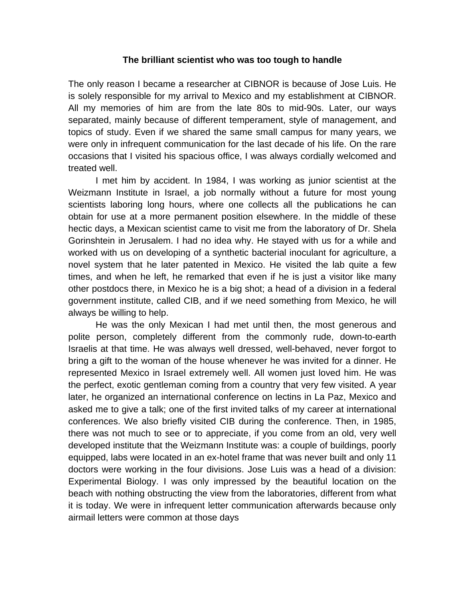## **The brilliant scientist who was too tough to handle**

The only reason I became a researcher at CIBNOR is because of Jose Luis. He is solely responsible for my arrival to Mexico and my establishment at CIBNOR. All my memories of him are from the late 80s to mid-90s. Later, our ways separated, mainly because of different temperament, style of management, and topics of study. Even if we shared the same small campus for many years, we were only in infrequent communication for the last decade of his life. On the rare occasions that I visited his spacious office, I was always cordially welcomed and treated well.

 I met him by accident. In 1984, I was working as junior scientist at the Weizmann Institute in Israel, a job normally without a future for most young scientists laboring long hours, where one collects all the publications he can obtain for use at a more permanent position elsewhere. In the middle of these hectic days, a Mexican scientist came to visit me from the laboratory of Dr. Shela Gorinshtein in Jerusalem. I had no idea why. He stayed with us for a while and worked with us on developing of a synthetic bacterial inoculant for agriculture, a novel system that he later patented in Mexico. He visited the lab quite a few times, and when he left, he remarked that even if he is just a visitor like many other postdocs there, in Mexico he is a big shot; a head of a division in a federal government institute, called CIB, and if we need something from Mexico, he will always be willing to help.

He was the only Mexican I had met until then, the most generous and polite person, completely different from the commonly rude, down-to-earth Israelis at that time. He was always well dressed, well-behaved, never forgot to bring a gift to the woman of the house whenever he was invited for a dinner. He represented Mexico in Israel extremely well. All women just loved him. He was the perfect, exotic gentleman coming from a country that very few visited. A year later, he organized an international conference on lectins in La Paz, Mexico and asked me to give a talk; one of the first invited talks of my career at international conferences. We also briefly visited CIB during the conference. Then, in 1985, there was not much to see or to appreciate, if you come from an old, very well developed institute that the Weizmann Institute was: a couple of buildings, poorly equipped, labs were located in an ex-hotel frame that was never built and only 11 doctors were working in the four divisions. Jose Luis was a head of a division: Experimental Biology. I was only impressed by the beautiful location on the beach with nothing obstructing the view from the laboratories, different from what it is today. We were in infrequent letter communication afterwards because only airmail letters were common at those days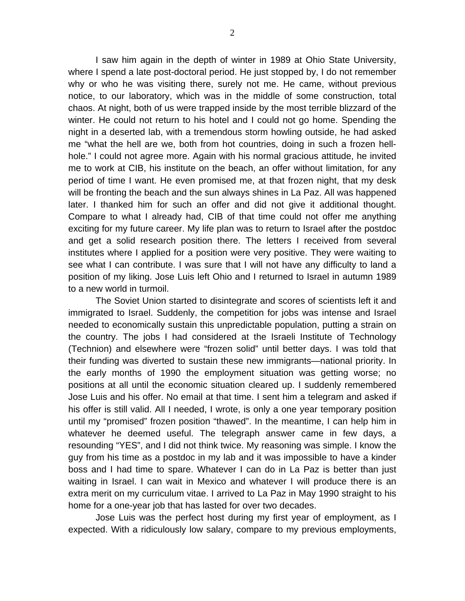I saw him again in the depth of winter in 1989 at Ohio State University, where I spend a late post-doctoral period. He just stopped by, I do not remember why or who he was visiting there, surely not me. He came, without previous notice, to our laboratory, which was in the middle of some construction, total chaos. At night, both of us were trapped inside by the most terrible blizzard of the winter. He could not return to his hotel and I could not go home. Spending the night in a deserted lab, with a tremendous storm howling outside, he had asked me "what the hell are we, both from hot countries, doing in such a frozen hellhole." I could not agree more. Again with his normal gracious attitude, he invited me to work at CIB, his institute on the beach, an offer without limitation, for any period of time I want. He even promised me, at that frozen night, that my desk will be fronting the beach and the sun always shines in La Paz. All was happened later. I thanked him for such an offer and did not give it additional thought. Compare to what I already had, CIB of that time could not offer me anything exciting for my future career. My life plan was to return to Israel after the postdoc and get a solid research position there. The letters I received from several institutes where I applied for a position were very positive. They were waiting to see what I can contribute. I was sure that I will not have any difficulty to land a position of my liking. Jose Luis left Ohio and I returned to Israel in autumn 1989 to a new world in turmoil.

The Soviet Union started to disintegrate and scores of scientists left it and immigrated to Israel. Suddenly, the competition for jobs was intense and Israel needed to economically sustain this unpredictable population, putting a strain on the country. The jobs I had considered at the Israeli Institute of Technology (Technion) and elsewhere were "frozen solid" until better days. I was told that their funding was diverted to sustain these new immigrants—national priority. In the early months of 1990 the employment situation was getting worse; no positions at all until the economic situation cleared up. I suddenly remembered Jose Luis and his offer. No email at that time. I sent him a telegram and asked if his offer is still valid. All I needed, I wrote, is only a one year temporary position until my "promised" frozen position "thawed". In the meantime, I can help him in whatever he deemed useful. The telegraph answer came in few days, a resounding "YES", and I did not think twice. My reasoning was simple. I know the guy from his time as a postdoc in my lab and it was impossible to have a kinder boss and I had time to spare. Whatever I can do in La Paz is better than just waiting in Israel. I can wait in Mexico and whatever I will produce there is an extra merit on my curriculum vitae. I arrived to La Paz in May 1990 straight to his home for a one-year job that has lasted for over two decades.

 Jose Luis was the perfect host during my first year of employment, as I expected. With a ridiculously low salary, compare to my previous employments,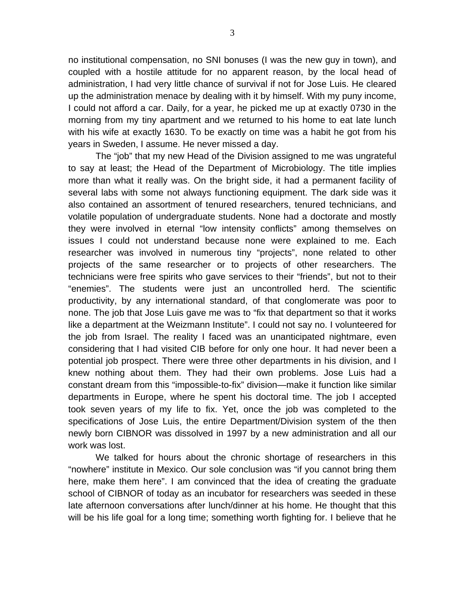no institutional compensation, no SNI bonuses (I was the new guy in town), and coupled with a hostile attitude for no apparent reason, by the local head of administration, I had very little chance of survival if not for Jose Luis. He cleared up the administration menace by dealing with it by himself. With my puny income, I could not afford a car. Daily, for a year, he picked me up at exactly 0730 in the morning from my tiny apartment and we returned to his home to eat late lunch with his wife at exactly 1630. To be exactly on time was a habit he got from his years in Sweden, I assume. He never missed a day.

The "job" that my new Head of the Division assigned to me was ungrateful to say at least; the Head of the Department of Microbiology. The title implies more than what it really was. On the bright side, it had a permanent facility of several labs with some not always functioning equipment. The dark side was it also contained an assortment of tenured researchers, tenured technicians, and volatile population of undergraduate students. None had a doctorate and mostly they were involved in eternal "low intensity conflicts" among themselves on issues I could not understand because none were explained to me. Each researcher was involved in numerous tiny "projects", none related to other projects of the same researcher or to projects of other researchers. The technicians were free spirits who gave services to their "friends", but not to their "enemies". The students were just an uncontrolled herd. The scientific productivity, by any international standard, of that conglomerate was poor to none. The job that Jose Luis gave me was to "fix that department so that it works like a department at the Weizmann Institute". I could not say no. I volunteered for the job from Israel. The reality I faced was an unanticipated nightmare, even considering that I had visited CIB before for only one hour. It had never been a potential job prospect. There were three other departments in his division, and I knew nothing about them. They had their own problems. Jose Luis had a constant dream from this "impossible-to-fix" division—make it function like similar departments in Europe, where he spent his doctoral time. The job I accepted took seven years of my life to fix. Yet, once the job was completed to the specifications of Jose Luis, the entire Department/Division system of the then newly born CIBNOR was dissolved in 1997 by a new administration and all our work was lost.

 We talked for hours about the chronic shortage of researchers in this "nowhere" institute in Mexico. Our sole conclusion was "if you cannot bring them here, make them here". I am convinced that the idea of creating the graduate school of CIBNOR of today as an incubator for researchers was seeded in these late afternoon conversations after lunch/dinner at his home. He thought that this will be his life goal for a long time; something worth fighting for. I believe that he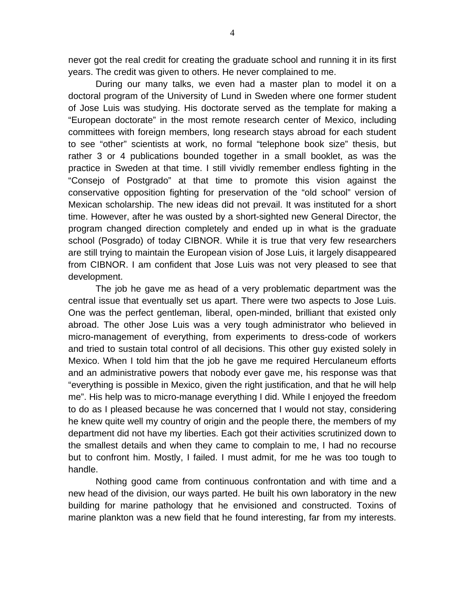never got the real credit for creating the graduate school and running it in its first years. The credit was given to others. He never complained to me.

During our many talks, we even had a master plan to model it on a doctoral program of the University of Lund in Sweden where one former student of Jose Luis was studying. His doctorate served as the template for making a "European doctorate" in the most remote research center of Mexico, including committees with foreign members, long research stays abroad for each student to see "other" scientists at work, no formal "telephone book size" thesis, but rather 3 or 4 publications bounded together in a small booklet, as was the practice in Sweden at that time. I still vividly remember endless fighting in the "Consejo of Postgrado" at that time to promote this vision against the conservative opposition fighting for preservation of the "old school" version of Mexican scholarship. The new ideas did not prevail. It was instituted for a short time. However, after he was ousted by a short-sighted new General Director, the program changed direction completely and ended up in what is the graduate school (Posgrado) of today CIBNOR. While it is true that very few researchers are still trying to maintain the European vision of Jose Luis, it largely disappeared from CIBNOR. I am confident that Jose Luis was not very pleased to see that development.

The job he gave me as head of a very problematic department was the central issue that eventually set us apart. There were two aspects to Jose Luis. One was the perfect gentleman, liberal, open-minded, brilliant that existed only abroad. The other Jose Luis was a very tough administrator who believed in micro-management of everything, from experiments to dress-code of workers and tried to sustain total control of all decisions. This other guy existed solely in Mexico. When I told him that the job he gave me required Herculaneum efforts and an administrative powers that nobody ever gave me, his response was that "everything is possible in Mexico, given the right justification, and that he will help me". His help was to micro-manage everything I did. While I enjoyed the freedom to do as I pleased because he was concerned that I would not stay, considering he knew quite well my country of origin and the people there, the members of my department did not have my liberties. Each got their activities scrutinized down to the smallest details and when they came to complain to me, I had no recourse but to confront him. Mostly, I failed. I must admit, for me he was too tough to handle.

Nothing good came from continuous confrontation and with time and a new head of the division, our ways parted. He built his own laboratory in the new building for marine pathology that he envisioned and constructed. Toxins of marine plankton was a new field that he found interesting, far from my interests.